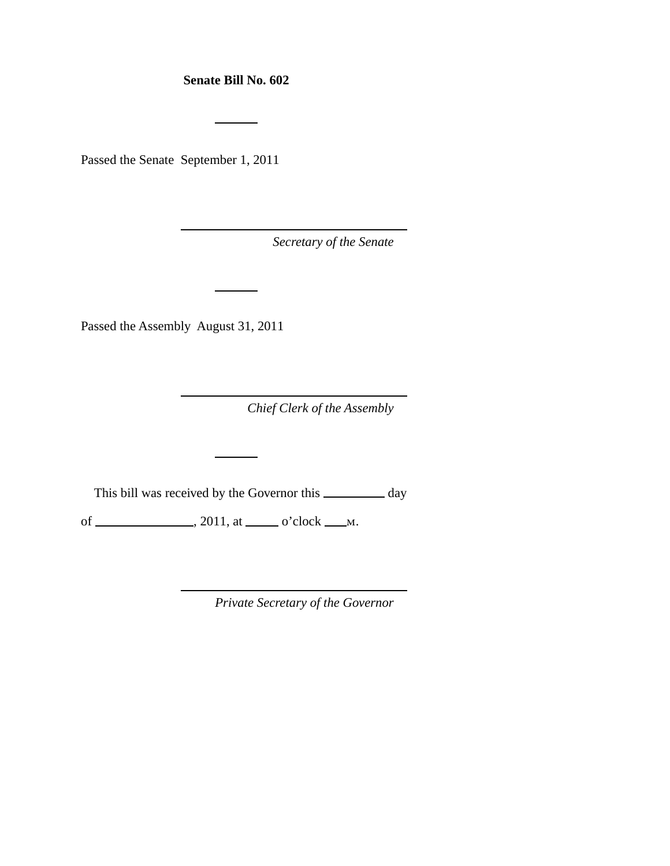**Senate Bill No. 602**

Passed the Senate September 1, 2011

*Secretary of the Senate*

Passed the Assembly August 31, 2011

*Chief Clerk of the Assembly*

This bill was received by the Governor this \_\_\_\_\_\_\_\_ day

of  $\_\_\_\_\_\_\_\_\_\_\_\_\_\_\_\_\_\_\_\_\_\_\_\_\_\_\_\_\_\_\_$  o'clock  $\_\_\_\_\_\_\_\_\_\_\_\_\_\_\_\.$ 

*Private Secretary of the Governor*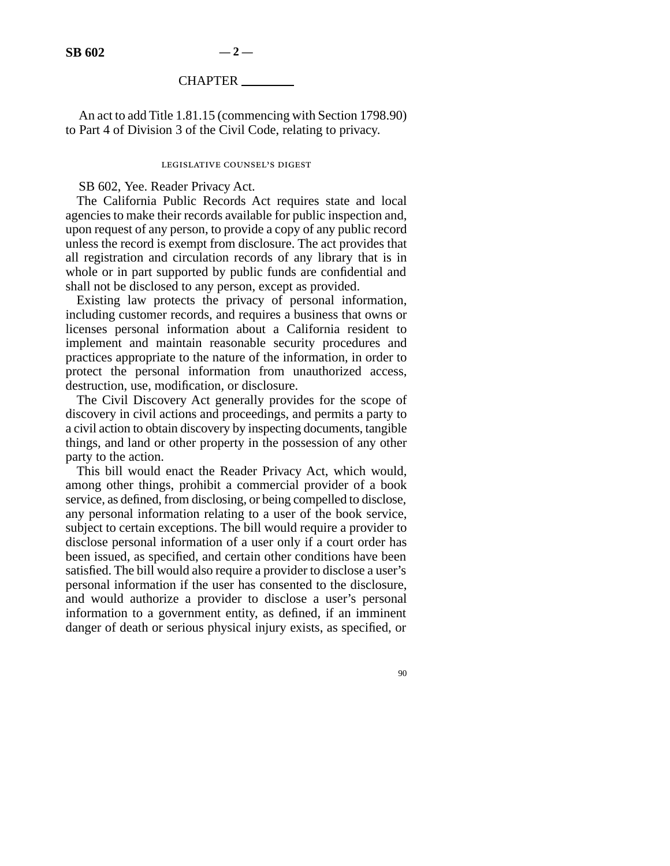## CHAPTER

An act to add Title 1.81.15 (commencing with Section 1798.90) to Part 4 of Division 3 of the Civil Code, relating to privacy.

## legislative counsel' s digest

## SB 602, Yee. Reader Privacy Act.

The California Public Records Act requires state and local agencies to make their records available for public inspection and, upon request of any person, to provide a copy of any public record unless the record is exempt from disclosure. The act provides that all registration and circulation records of any library that is in whole or in part supported by public funds are confidential and shall not be disclosed to any person, except as provided.

Existing law protects the privacy of personal information, including customer records, and requires a business that owns or licenses personal information about a California resident to implement and maintain reasonable security procedures and practices appropriate to the nature of the information, in order to protect the personal information from unauthorized access, destruction, use, modification, or disclosure.

The Civil Discovery Act generally provides for the scope of discovery in civil actions and proceedings, and permits a party to a civil action to obtain discovery by inspecting documents, tangible things, and land or other property in the possession of any other party to the action.

This bill would enact the Reader Privacy Act, which would, among other things, prohibit a commercial provider of a book service, as defined, from disclosing, or being compelled to disclose, any personal information relating to a user of the book service, subject to certain exceptions. The bill would require a provider to disclose personal information of a user only if a court order has been issued, as specified, and certain other conditions have been satisfied. The bill would also require a provider to disclose a user's personal information if the user has consented to the disclosure, and would authorize a provider to disclose a user's personal information to a government entity, as defined, if an imminent danger of death or serious physical injury exists, as specified, or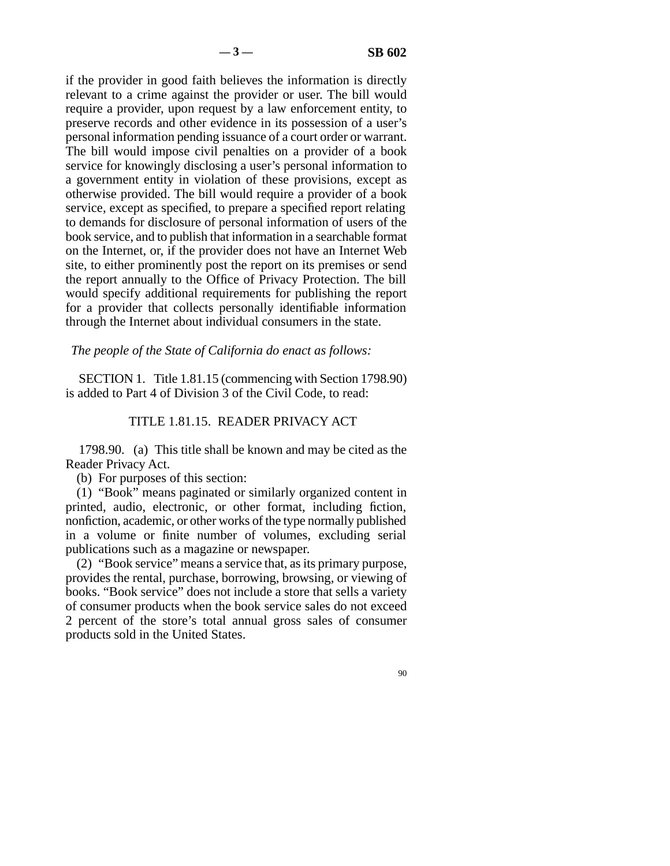if the provider in good faith believes the information is directly relevant to a crime against the provider or user. The bill would require a provider, upon request by a law enforcement entity, to preserve records and other evidence in its possession of a user's personal information pending issuance of a court order or warrant. The bill would impose civil penalties on a provider of a book service for knowingly disclosing a user's personal information to a government entity in violation of these provisions, except as otherwise provided. The bill would require a provider of a book service, except as specified, to prepare a specified report relating to demands for disclosure of personal information of users of the book service, and to publish that information in a searchable format on the Internet, or, if the provider does not have an Internet Web site, to either prominently post the report on its premises or send the report annually to the Office of Privacy Protection. The bill would specify additional requirements for publishing the report for a provider that collects personally identifiable information through the Internet about individual consumers in the state.

*The people of the State of California do enact as follows:*

SECTION 1. Title 1.81.15 (commencing with Section 1798.90) is added to Part 4 of Division 3 of the Civil Code, to read:

## TITLE 1.81.15. READER PRIVACY ACT

1798.90. (a) This title shall be known and may be cited as the Reader Privacy Act.

(b) For purposes of this section:

(1) "Book" means paginated or similarly organized content in printed, audio, electronic, or other format, including fiction, nonfiction, academic, or other works of the type normally published in a volume or finite number of volumes, excluding serial publications such as a magazine or newspaper.

(2) "Book service" means a service that, as its primary purpose, provides the rental, purchase, borrowing, browsing, or viewing of books. "Book service" does not include a store that sells a variety of consumer products when the book service sales do not exceed 2 percent of the store's total annual gross sales of consumer products sold in the United States.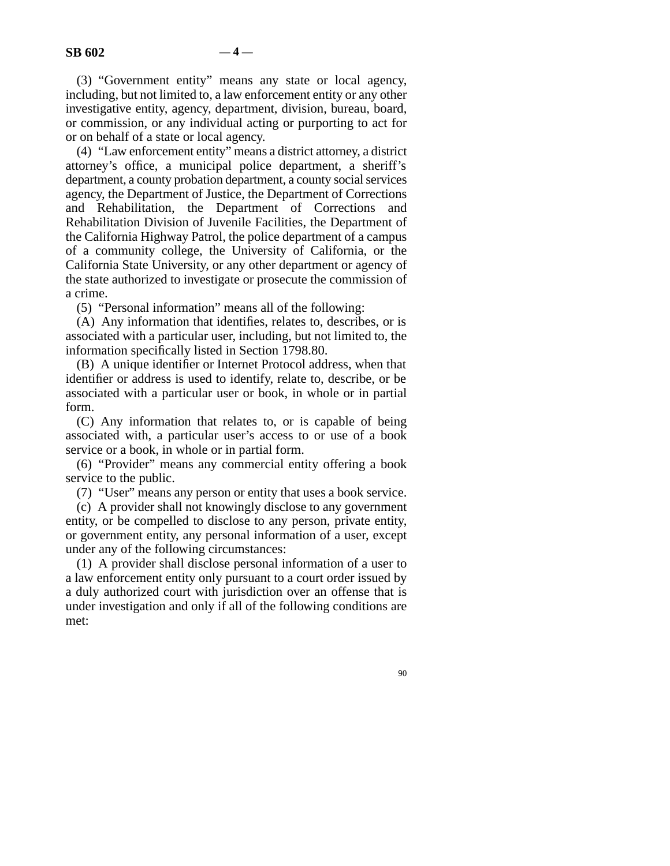(3) "Government entity" means any state or local agency, including, but not limited to, a law enforcement entity or any other investigative entity, agency, department, division, bureau, board, or commission, or any individual acting or purporting to act for or on behalf of a state or local agency.

(4) "Law enforcement entity" means a district attorney, a district attorney's office, a municipal police department, a sheriff's department, a county probation department, a county social services agency, the Department of Justice, the Department of Corrections and Rehabilitation, the Department of Corrections and Rehabilitation Division of Juvenile Facilities, the Department of the California Highway Patrol, the police department of a campus of a community college, the University of California, or the California State University, or any other department or agency of the state authorized to investigate or prosecute the commission of a crime.

(5) "Personal information" means all of the following:

(A) Any information that identifies, relates to, describes, or is associated with a particular user, including, but not limited to, the information specifically listed in Section 1798.80.

(B) A unique identifier or Internet Protocol address, when that identifier or address is used to identify, relate to, describe, or be associated with a particular user or book, in whole or in partial form.

(C) Any information that relates to, or is capable of being associated with, a particular user's access to or use of a book service or a book, in whole or in partial form.

(6) "Provider" means any commercial entity offering a book service to the public.

(7) "User" means any person or entity that uses a book service.

(c) A provider shall not knowingly disclose to any government entity, or be compelled to disclose to any person, private entity, or government entity, any personal information of a user, except under any of the following circumstances:

(1) A provider shall disclose personal information of a user to a law enforcement entity only pursuant to a court order issued by a duly authorized court with jurisdiction over an offense that is under investigation and only if all of the following conditions are met: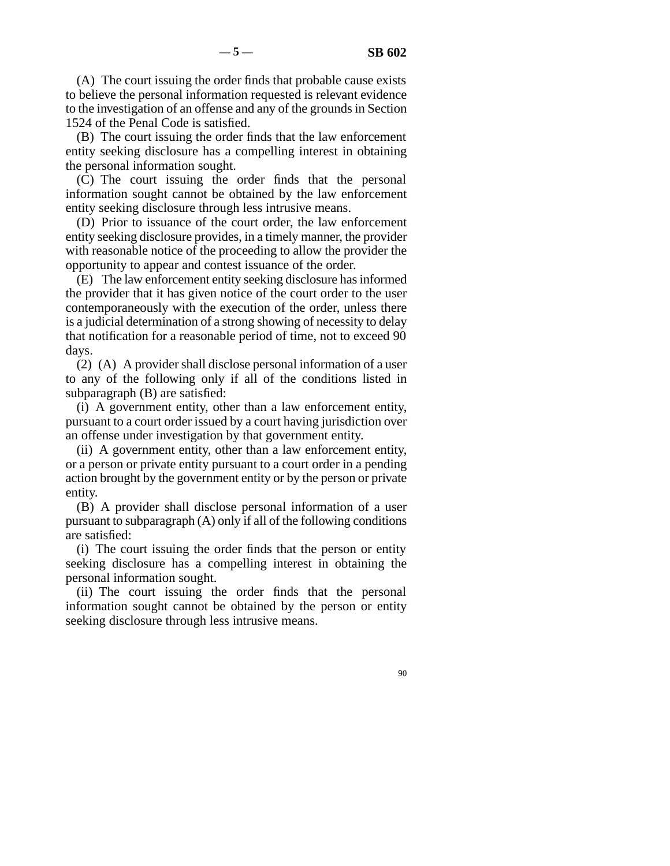(B) The court issuing the order finds that the law enforcement entity seeking disclosure has a compelling interest in obtaining the personal information sought.

(C) The court issuing the order finds that the personal information sought cannot be obtained by the law enforcement entity seeking disclosure through less intrusive means.

(D) Prior to issuance of the court order, the law enforcement entity seeking disclosure provides, in a timely manner, the provider with reasonable notice of the proceeding to allow the provider the opportunity to appear and contest issuance of the order.

(E) The law enforcement entity seeking disclosure has informed the provider that it has given notice of the court order to the user contemporaneously with the execution of the order, unless there is a judicial determination of a strong showing of necessity to delay that notification for a reasonable period of time, not to exceed 90 days.

(2) (A) A provider shall disclose personal information of a user to any of the following only if all of the conditions listed in subparagraph (B) are satisfied:

(i) A government entity, other than a law enforcement entity, pursuant to a court order issued by a court having jurisdiction over an offense under investigation by that government entity.

(ii) A government entity, other than a law enforcement entity, or a person or private entity pursuant to a court order in a pending action brought by the government entity or by the person or private entity.

(B) A provider shall disclose personal information of a user pursuant to subparagraph (A) only if all of the following conditions are satisfied:

(i) The court issuing the order finds that the person or entity seeking disclosure has a compelling interest in obtaining the personal information sought.

(ii) The court issuing the order finds that the personal information sought cannot be obtained by the person or entity seeking disclosure through less intrusive means.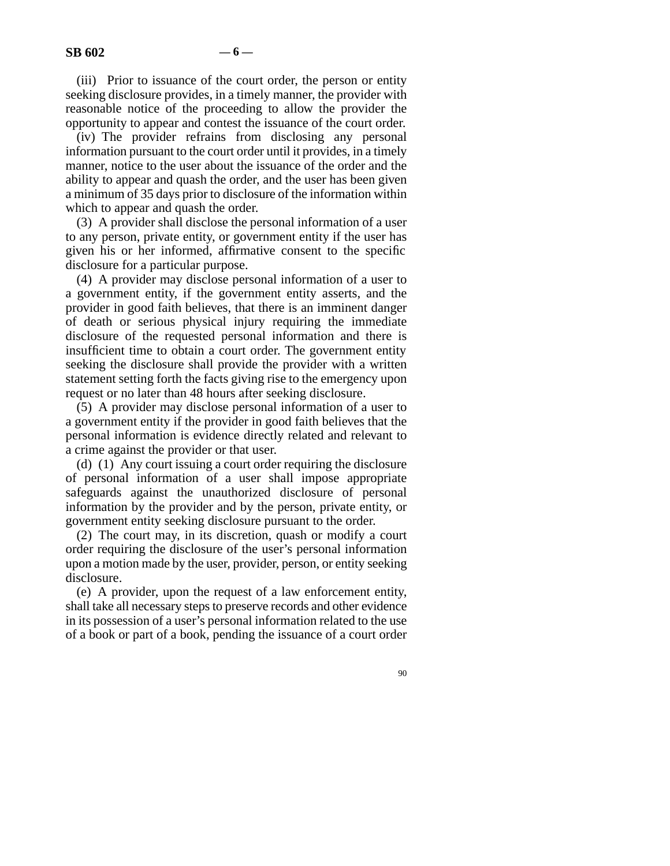(iii) Prior to issuance of the court order, the person or entity seeking disclosure provides, in a timely manner, the provider with reasonable notice of the proceeding to allow the provider the opportunity to appear and contest the issuance of the court order.

(iv) The provider refrains from disclosing any personal information pursuant to the court order until it provides, in a timely manner, notice to the user about the issuance of the order and the ability to appear and quash the order, and the user has been given a minimum of 35 days prior to disclosure of the information within which to appear and quash the order.

(3) A provider shall disclose the personal information of a user to any person, private entity, or government entity if the user has given his or her informed, affirmative consent to the specific disclosure for a particular purpose.

(4) A provider may disclose personal information of a user to a government entity, if the government entity asserts, and the provider in good faith believes, that there is an imminent danger of death or serious physical injury requiring the immediate disclosure of the requested personal information and there is insufficient time to obtain a court order. The government entity seeking the disclosure shall provide the provider with a written statement setting forth the facts giving rise to the emergency upon request or no later than 48 hours after seeking disclosure.

(5) A provider may disclose personal information of a user to a government entity if the provider in good faith believes that the personal information is evidence directly related and relevant to a crime against the provider or that user.

(d) (1) Any court issuing a court order requiring the disclosure of personal information of a user shall impose appropriate safeguards against the unauthorized disclosure of personal information by the provider and by the person, private entity, or government entity seeking disclosure pursuant to the order.

(2) The court may, in its discretion, quash or modify a court order requiring the disclosure of the user's personal information upon a motion made by the user, provider, person, or entity seeking disclosure.

(e) A provider, upon the request of a law enforcement entity, shall take all necessary steps to preserve records and other evidence in its possession of a user's personal information related to the use of a book or part of a book, pending the issuance of a court order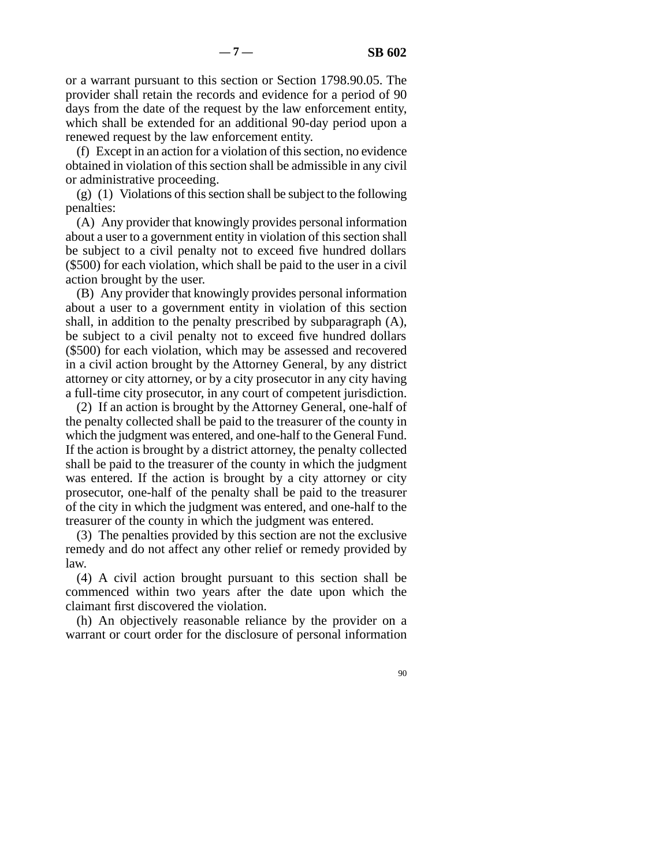or a warrant pursuant to this section or Section 1798.90.05. The provider shall retain the records and evidence for a period of 90 days from the date of the request by the law enforcement entity, which shall be extended for an additional 90-day period upon a renewed request by the law enforcement entity.

(f) Except in an action for a violation of this section, no evidence obtained in violation of this section shall be admissible in any civil or administrative proceeding.

(g) (1) Violations of this section shall be subject to the following penalties:

(A) Any provider that knowingly provides personal information about a user to a government entity in violation of this section shall be subject to a civil penalty not to exceed five hundred dollars (\$500) for each violation, which shall be paid to the user in a civil action brought by the user.

(B) Any provider that knowingly provides personal information about a user to a government entity in violation of this section shall, in addition to the penalty prescribed by subparagraph (A), be subject to a civil penalty not to exceed five hundred dollars (\$500) for each violation, which may be assessed and recovered in a civil action brought by the Attorney General, by any district attorney or city attorney, or by a city prosecutor in any city having a full-time city prosecutor, in any court of competent jurisdiction.

(2) If an action is brought by the Attorney General, one-half of the penalty collected shall be paid to the treasurer of the county in which the judgment was entered, and one-half to the General Fund. If the action is brought by a district attorney, the penalty collected shall be paid to the treasurer of the county in which the judgment was entered. If the action is brought by a city attorney or city prosecutor, one-half of the penalty shall be paid to the treasurer of the city in which the judgment was entered, and one-half to the treasurer of the county in which the judgment was entered.

(3) The penalties provided by this section are not the exclusive remedy and do not affect any other relief or remedy provided by law.

(4) A civil action brought pursuant to this section shall be commenced within two years after the date upon which the claimant first discovered the violation.

(h) An objectively reasonable reliance by the provider on a warrant or court order for the disclosure of personal information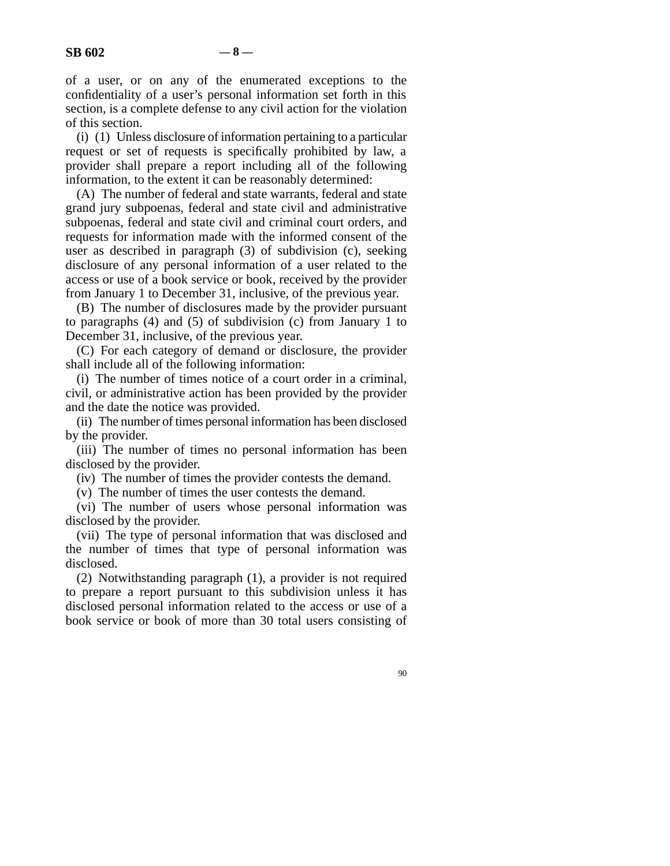of a user, or on any of the enumerated exceptions to the confidentiality of a user's personal information set forth in this section, is a complete defense to any civil action for the violation of this section.

(i) (1) Unless disclosure of information pertaining to a particular request or set of requests is specifically prohibited by law, a provider shall prepare a report including all of the following information, to the extent it can be reasonably determined:

(A) The number of federal and state warrants, federal and state grand jury subpoenas, federal and state civil and administrative subpoenas, federal and state civil and criminal court orders, and requests for information made with the informed consent of the user as described in paragraph (3) of subdivision (c), seeking disclosure of any personal information of a user related to the access or use of a book service or book, received by the provider from January 1 to December 31, inclusive, of the previous year.

(B) The number of disclosures made by the provider pursuant to paragraphs (4) and (5) of subdivision (c) from January 1 to December 31, inclusive, of the previous year.

(C) For each category of demand or disclosure, the provider shall include all of the following information:

(i) The number of times notice of a court order in a criminal, civil, or administrative action has been provided by the provider and the date the notice was provided.

(ii) The number of times personal information has been disclosed by the provider.

(iii) The number of times no personal information has been disclosed by the provider.

(iv) The number of times the provider contests the demand.

(v) The number of times the user contests the demand.

(vi) The number of users whose personal information was disclosed by the provider.

(vii) The type of personal information that was disclosed and the number of times that type of personal information was disclosed.

(2) Notwithstanding paragraph (1), a provider is not required to prepare a report pursuant to this subdivision unless it has disclosed personal information related to the access or use of a book service or book of more than 30 total users consisting of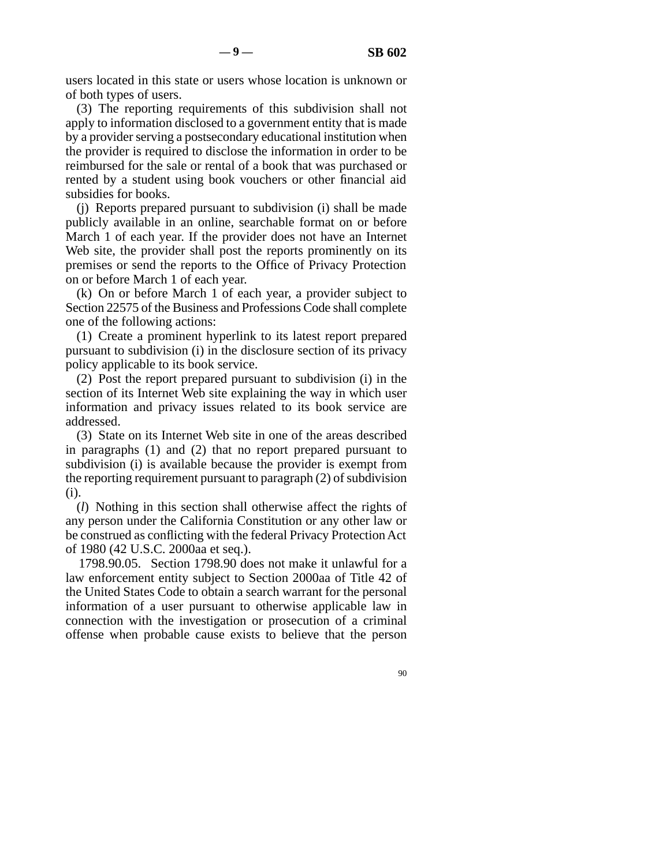users located in this state or users whose location is unknown or of both types of users.

(3) The reporting requirements of this subdivision shall not apply to information disclosed to a government entity that is made by a provider serving a postsecondary educational institution when the provider is required to disclose the information in order to be reimbursed for the sale or rental of a book that was purchased or rented by a student using book vouchers or other financial aid subsidies for books.

(j) Reports prepared pursuant to subdivision (i) shall be made publicly available in an online, searchable format on or before March 1 of each year. If the provider does not have an Internet Web site, the provider shall post the reports prominently on its premises or send the reports to the Office of Privacy Protection on or before March 1 of each year.

(k) On or before March 1 of each year, a provider subject to Section 22575 of the Business and Professions Code shall complete one of the following actions:

(1) Create a prominent hyperlink to its latest report prepared pursuant to subdivision (i) in the disclosure section of its privacy policy applicable to its book service.

(2) Post the report prepared pursuant to subdivision (i) in the section of its Internet Web site explaining the way in which user information and privacy issues related to its book service are addressed.

(3) State on its Internet Web site in one of the areas described in paragraphs (1) and (2) that no report prepared pursuant to subdivision (i) is available because the provider is exempt from the reporting requirement pursuant to paragraph (2) of subdivision (i).

(*l*) Nothing in this section shall otherwise affect the rights of any person under the California Constitution or any other law or be construed as conflicting with the federal Privacy Protection Act of 1980 (42 U.S.C. 2000aa et seq.).

1798.90.05. Section 1798.90 does not make it unlawful for a law enforcement entity subject to Section 2000aa of Title 42 of the United States Code to obtain a search warrant for the personal information of a user pursuant to otherwise applicable law in connection with the investigation or prosecution of a criminal offense when probable cause exists to believe that the person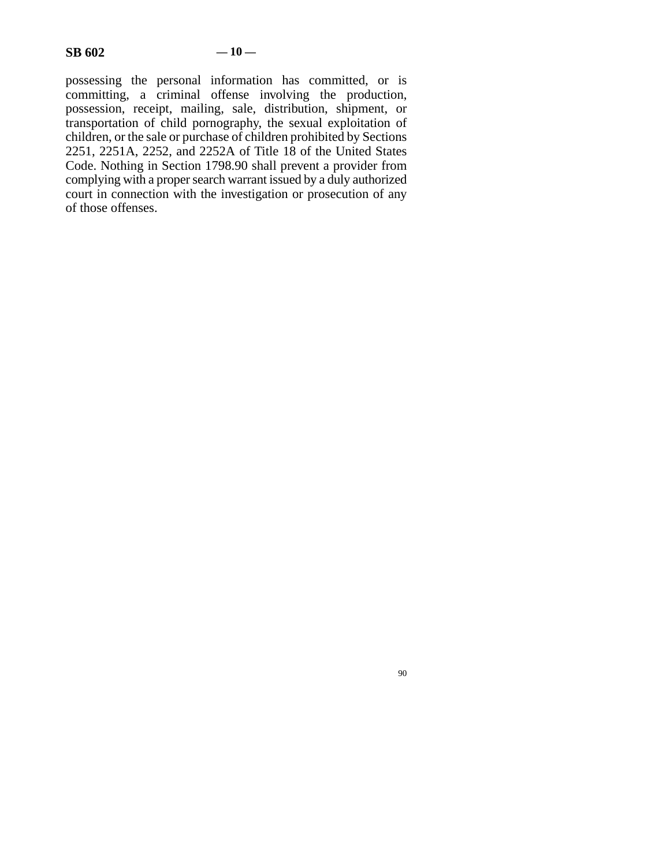possessing the personal information has committed, or is committing, a criminal offense involving the production, possession, receipt, mailing, sale, distribution, shipment, or transportation of child pornography, the sexual exploitation of children, or the sale or purchase of children prohibited by Sections 2251, 2251A, 2252, and 2252A of Title 18 of the United States Code. Nothing in Section 1798.90 shall prevent a provider from complying with a proper search warrant issued by a duly authorized court in connection with the investigation or prosecution of any of those offenses.